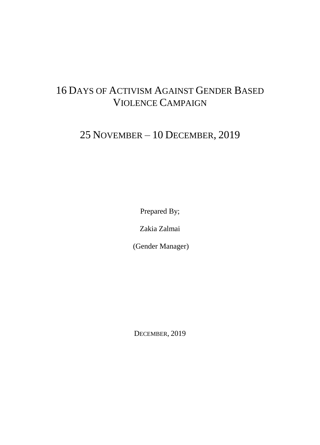# 16 DAYS OF ACTIVISM AGAINST GENDER BASED VIOLENCE CAMPAIGN

# 25 NOVEMBER – 10 DECEMBER, 2019

Prepared By;

Zakia Zalmai

(Gender Manager)

DECEMBER, 2019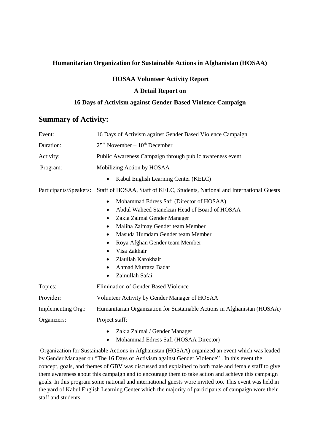#### **Humanitarian Organization for Sustainable Actions in Afghanistan (HOSAA)**

#### **HOSAA Volunteer Activity Report**

### **A Detail Report on**

#### **16 Days of Activism against Gender Based Violence Campaign**

### **Summary of Activity:**

| Event:                 | 16 Days of Activism against Gender Based Violence Campaign                                                                                                                                                                                                                                                                                                                            |
|------------------------|---------------------------------------------------------------------------------------------------------------------------------------------------------------------------------------------------------------------------------------------------------------------------------------------------------------------------------------------------------------------------------------|
| Duration:              | $25th$ November – $10th$ December                                                                                                                                                                                                                                                                                                                                                     |
| Activity:              | Public Awareness Campaign through public awareness event                                                                                                                                                                                                                                                                                                                              |
| Program:               | Mobilizing Action by HOSAA                                                                                                                                                                                                                                                                                                                                                            |
|                        | Kabul English Learning Center (KELC)                                                                                                                                                                                                                                                                                                                                                  |
| Participants/Speakers: | Staff of HOSAA, Staff of KELC, Students, National and International Guests                                                                                                                                                                                                                                                                                                            |
|                        | Mohammad Edress Safi (Director of HOSAA)<br>٠<br>Abdul Waheed Stanekzai Head of Board of HOSAA<br>$\bullet$<br>Zakia Zalmai Gender Manager<br>$\bullet$<br>Maliha Zalmay Gender team Member<br>٠<br>Masuda Humdam Gender team Member<br>٠<br>Roya Afghan Gender team Member<br>Visa Zakhair<br>$\bullet$<br>Ziaullah Karokhair<br>$\bullet$<br>Ahmad Murtaza Badar<br>Zainullah Safai |
| Topics:                | <b>Elimination of Gender Based Violence</b>                                                                                                                                                                                                                                                                                                                                           |
| Provide r:             | Volunteer Activity by Gender Manager of HOSAA                                                                                                                                                                                                                                                                                                                                         |
| Implementing Org.:     | Humanitarian Organization for Sustainable Actions in Afghanistan (HOSAA)                                                                                                                                                                                                                                                                                                              |
| Organizers:            | Project staff;                                                                                                                                                                                                                                                                                                                                                                        |
|                        | Zakia Zalmai / Gender Manager<br>Mohammad Edress Safi (HOSAA Director)<br>$\bullet$                                                                                                                                                                                                                                                                                                   |

Organization for Sustainable Actions in Afghanistan (HOSAA) organized an event which was leaded by Gender Manager on "The 16 Days of Activism against Gender Violence" . In this event the concept, goals, and themes of GBV was discussed and explained to both male and female staff to give them awareness about this campaign and to encourage them to take action and achieve this campaign goals. In this program some national and international guests wore invited too. This event was held in the yard of Kabul English Learning Center which the majority of participants of campaign wore their staff and students.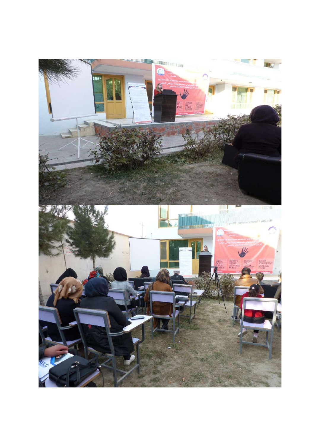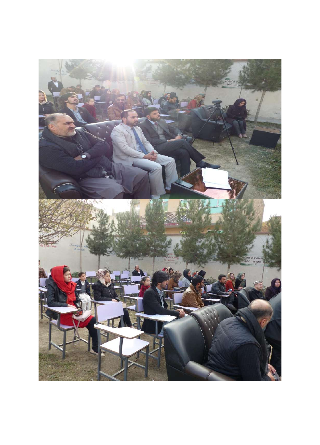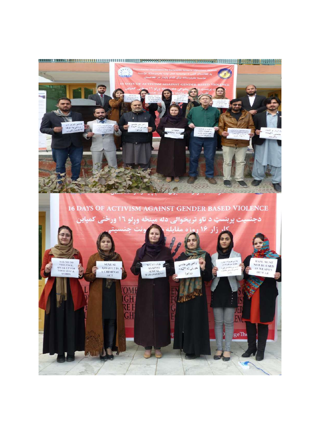